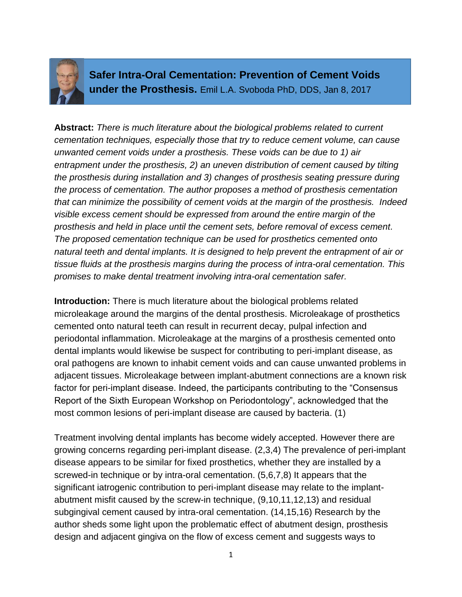

**Safer Intra-Oral Cementation: Prevention of Cement Voids under the Prosthesis.** Emil L.A. Svoboda PhD, DDS, Jan 8, 2017

**Abstract:** *There is much literature about the biological problems related to current cementation techniques, especially those that try to reduce cement volume, can cause unwanted cement voids under a prosthesis. These voids can be due to 1) air entrapment under the prosthesis, 2) an uneven distribution of cement caused by tilting the prosthesis during installation and 3) changes of prosthesis seating pressure during the process of cementation. The author proposes a method of prosthesis cementation that can minimize the possibility of cement voids at the margin of the prosthesis. Indeed visible excess cement should be expressed from around the entire margin of the prosthesis and held in place until the cement sets, before removal of excess cement. The proposed cementation technique can be used for prosthetics cemented onto natural teeth and dental implants. It is designed to help prevent the entrapment of air or tissue fluids at the prosthesis margins during the process of intra-oral cementation. This promises to make dental treatment involving intra-oral cementation safer.*

**Introduction:** There is much literature about the biological problems related microleakage around the margins of the dental prosthesis. Microleakage of prosthetics cemented onto natural teeth can result in recurrent decay, pulpal infection and periodontal inflammation. Microleakage at the margins of a prosthesis cemented onto dental implants would likewise be suspect for contributing to peri-implant disease, as oral pathogens are known to inhabit cement voids and can cause unwanted problems in adjacent tissues. Microleakage between implant-abutment connections are a known risk factor for peri-implant disease. Indeed, the participants contributing to the "Consensus Report of the Sixth European Workshop on Periodontology", acknowledged that the most common lesions of peri-implant disease are caused by bacteria. (1)

Treatment involving dental implants has become widely accepted. However there are growing concerns regarding peri-implant disease. (2,3,4) The prevalence of peri-implant disease appears to be similar for fixed prosthetics, whether they are installed by a screwed-in technique or by intra-oral cementation. (5,6,7,8) It appears that the significant iatrogenic contribution to peri-implant disease may relate to the implantabutment misfit caused by the screw-in technique, (9,10,11,12,13) and residual subgingival cement caused by intra-oral cementation. (14,15,16) Research by the author sheds some light upon the problematic effect of abutment design, prosthesis design and adjacent gingiva on the flow of excess cement and suggests ways to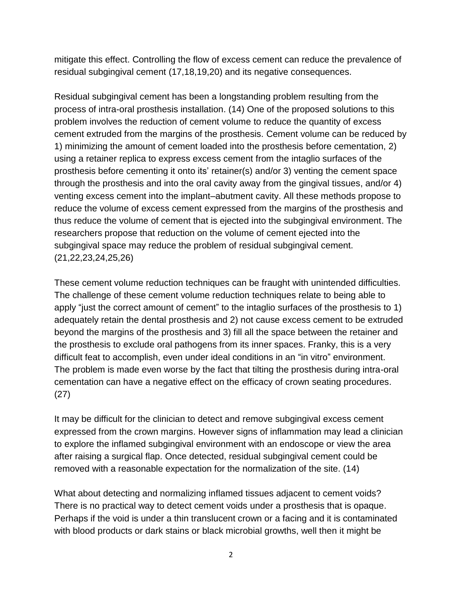mitigate this effect. Controlling the flow of excess cement can reduce the prevalence of residual subgingival cement (17,18,19,20) and its negative consequences.

Residual subgingival cement has been a longstanding problem resulting from the process of intra-oral prosthesis installation. (14) One of the proposed solutions to this problem involves the reduction of cement volume to reduce the quantity of excess cement extruded from the margins of the prosthesis. Cement volume can be reduced by 1) minimizing the amount of cement loaded into the prosthesis before cementation, 2) using a retainer replica to express excess cement from the intaglio surfaces of the prosthesis before cementing it onto its' retainer(s) and/or 3) venting the cement space through the prosthesis and into the oral cavity away from the gingival tissues, and/or 4) venting excess cement into the implant–abutment cavity. All these methods propose to reduce the volume of excess cement expressed from the margins of the prosthesis and thus reduce the volume of cement that is ejected into the subgingival environment. The researchers propose that reduction on the volume of cement ejected into the subgingival space may reduce the problem of residual subgingival cement. (21,22,23,24,25,26)

These cement volume reduction techniques can be fraught with unintended difficulties. The challenge of these cement volume reduction techniques relate to being able to apply "just the correct amount of cement" to the intaglio surfaces of the prosthesis to 1) adequately retain the dental prosthesis and 2) not cause excess cement to be extruded beyond the margins of the prosthesis and 3) fill all the space between the retainer and the prosthesis to exclude oral pathogens from its inner spaces. Franky, this is a very difficult feat to accomplish, even under ideal conditions in an "in vitro" environment. The problem is made even worse by the fact that tilting the prosthesis during intra-oral cementation can have a negative effect on the efficacy of crown seating procedures. (27)

It may be difficult for the clinician to detect and remove subgingival excess cement expressed from the crown margins. However signs of inflammation may lead a clinician to explore the inflamed subgingival environment with an endoscope or view the area after raising a surgical flap. Once detected, residual subgingival cement could be removed with a reasonable expectation for the normalization of the site. (14)

What about detecting and normalizing inflamed tissues adjacent to cement voids? There is no practical way to detect cement voids under a prosthesis that is opaque. Perhaps if the void is under a thin translucent crown or a facing and it is contaminated with blood products or dark stains or black microbial growths, well then it might be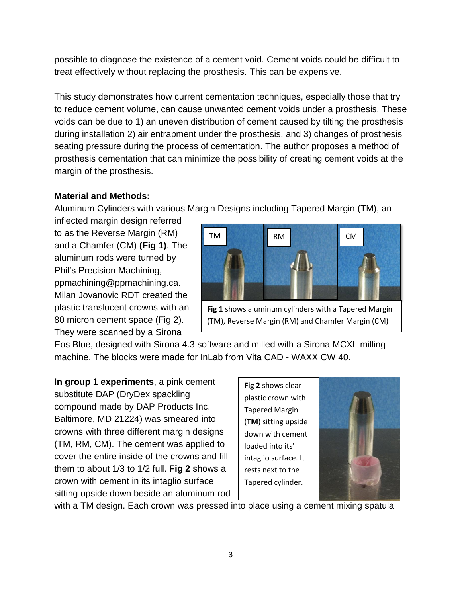possible to diagnose the existence of a cement void. Cement voids could be difficult to treat effectively without replacing the prosthesis. This can be expensive.

This study demonstrates how current cementation techniques, especially those that try to reduce cement volume, can cause unwanted cement voids under a prosthesis. These voids can be due to 1) an uneven distribution of cement caused by tilting the prosthesis during installation 2) air entrapment under the prosthesis, and 3) changes of prosthesis seating pressure during the process of cementation. The author proposes a method of prosthesis cementation that can minimize the possibility of creating cement voids at the margin of the prosthesis.

# **Material and Methods:**

Aluminum Cylinders with various Margin Designs including Tapered Margin (TM), an

inflected margin design referred to as the Reverse Margin (RM) and a Chamfer (CM) **(Fig 1)**. The aluminum rods were turned by Phil's Precision Machining, ppmachining@ppmachining.ca. Milan Jovanovic RDT created the plastic translucent crowns with an 80 micron cement space (Fig 2). They were scanned by a Sirona



**Fig 1** shows aluminum cylinders with a Tapered Margin (TM), Reverse Margin (RM) and Chamfer Margin (CM)

Eos Blue, designed with Sirona 4.3 software and milled with a Sirona MCXL milling machine. The blocks were made for InLab from Vita CAD - WAXX CW 40.

**In group 1 experiments**, a pink cement substitute DAP (DryDex spackling compound made by DAP Products Inc. Baltimore, MD 21224) was smeared into crowns with three different margin designs (TM, RM, CM). The cement was applied to cover the entire inside of the crowns and fill them to about 1/3 to 1/2 full. **Fig 2** shows a crown with cement in its intaglio surface sitting upside down beside an aluminum rod

**Fig 2** shows clear plastic crown with Tapered Margin (**TM**) sitting upside down with cement loaded into its' intaglio surface. It rests next to the Tapered cylinder.



with a TM design. Each crown was pressed into place using a cement mixing spatula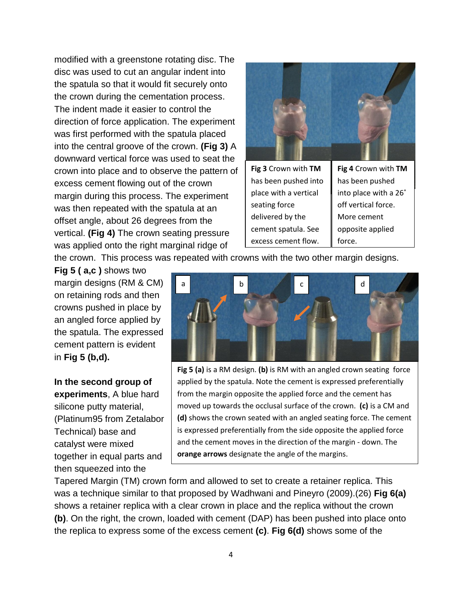modified with a greenstone rotating disc. The disc was used to cut an angular indent into the spatula so that it would fit securely onto the crown during the cementation process. The indent made it easier to control the direction of force application. The experiment was first performed with the spatula placed into the central groove of the crown. **(Fig 3)** A downward vertical force was used to seat the crown into place and to observe the pattern of excess cement flowing out of the crown margin during this process. The experiment was then repeated with the spatula at an offset angle, about 26 degrees from the vertical. **(Fig 4)** The crown seating pressure was applied onto the right marginal ridge of



the crown. This process was repeated with crowns with the two other margin designs.

**Fig 5 ( a,c )** shows two margin designs (RM & CM) on retaining rods and then crowns pushed in place by an angled force applied by the spatula. The expressed cement pattern is evident in **Fig 5 (b,d).**

**In the second group of experiments**, A blue hard silicone putty material, (Platinum95 from Zetalabor Technical) base and catalyst were mixed together in equal parts and then squeezed into the



**Fig 5 (a)** is a RM design. **(b)** is RM with an angled crown seating force applied by the spatula. Note the cement is expressed preferentially from the margin opposite the applied force and the cement has moved up towards the occlusal surface of the crown. **(c)** is a CM and **(d)** shows the crown seated with an angled seating force. The cement is expressed preferentially from the side opposite the applied force and the cement moves in the direction of the margin - down. The **orange arrows** designate the angle of the margins.

Tapered Margin (TM) crown form and allowed to set to create a retainer replica. This was a technique similar to that proposed by Wadhwani and Pineyro (2009).(26) **Fig 6(a)** shows a retainer replica with a clear crown in place and the replica without the crown **(b)**. On the right, the crown, loaded with cement (DAP) has been pushed into place onto the replica to express some of the excess cement **(c)**. **Fig 6(d)** shows some of the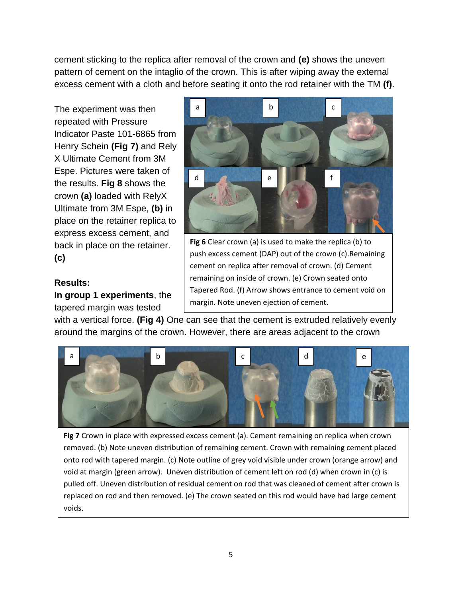cement sticking to the replica after removal of the crown and **(e)** shows the uneven pattern of cement on the intaglio of the crown. This is after wiping away the external excess cement with a cloth and before seating it onto the rod retainer with the TM **(f)**.

The experiment was then repeated with Pressure Indicator Paste 101-6865 from Henry Schein **(Fig 7)** and Rely X Ultimate Cement from 3M Espe. Pictures were taken of the results. **Fig 8** shows the crown **(a)** loaded with RelyX Ultimate from 3M Espe, **(b)** in place on the retainer replica to express excess cement, and back in place on the retainer. **(c)**

## **Results:**

**In group 1 experiments**, the tapered margin was tested



**Fig 6** Clear crown (a) is used to make the replica (b) to push excess cement (DAP) out of the crown (c).Remaining cement on replica after removal of crown. (d) Cement remaining on inside of crown. (e) Crown seated onto Tapered Rod. (f) Arrow shows entrance to cement void on margin. Note uneven ejection of cement.

with a vertical force. **(Fig 4)** One can see that the cement is extruded relatively evenly around the margins of the crown. However, there are areas adjacent to the crown



**Fig 7** Crown in place with expressed excess cement (a). Cement remaining on replica when crown removed. (b) Note uneven distribution of remaining cement. Crown with remaining cement placed onto rod with tapered margin. (c) Note outline of grey void visible under crown (orange arrow) and void at margin (green arrow). Uneven distribution of cement left on rod (d) when crown in (c) is pulled off. Uneven distribution of residual cement on rod that was cleaned of cement after crown is replaced on rod and then removed. (e) The crown seated on this rod would have had large cement voids.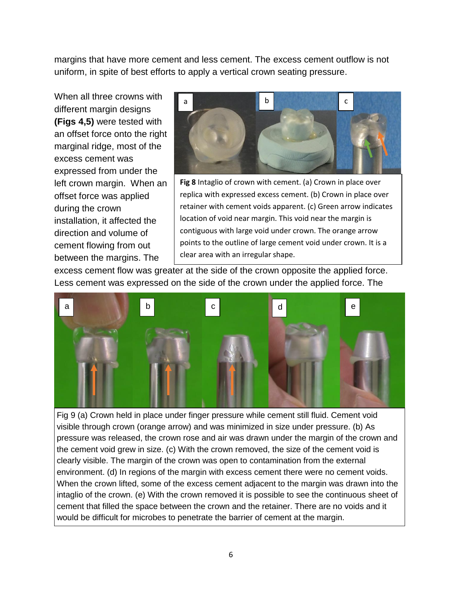margins that have more cement and less cement. The excess cement outflow is not uniform, in spite of best efforts to apply a vertical crown seating pressure.

When all three crowns with different margin designs **(Figs 4,5)** were tested with an offset force onto the right marginal ridge, most of the excess cement was expressed from under the left crown margin. When an offset force was applied during the crown installation, it affected the direction and volume of cement flowing from out between the margins. The



**Fig 8** Intaglio of crown with cement. (a) Crown in place over replica with expressed excess cement. (b) Crown in place over retainer with cement voids apparent. (c) Green arrow indicates location of void near margin. This void near the margin is contiguous with large void under crown. The orange arrow points to the outline of large cement void under crown. It is a clear area with an irregular shape.

excess cement flow was greater at the side of the crown opposite the applied force. Less cement was expressed on the side of the crown under the applied force. The



Fig 9 (a) Crown held in place under finger pressure while cement still fluid. Cement void visible through crown (orange arrow) and was minimized in size under pressure. (b) As pressure was released, the crown rose and air was drawn under the margin of the crown and the cement void grew in size. (c) With the crown removed, the size of the cement void is clearly visible. The margin of the crown was open to contamination from the external environment. (d) In regions of the margin with excess cement there were no cement voids. When the crown lifted, some of the excess cement adjacent to the margin was drawn into the intaglio of the crown. (e) With the crown removed it is possible to see the continuous sheet of cement that filled the space between the crown and the retainer. There are no voids and it would be difficult for microbes to penetrate the barrier of cement at the margin.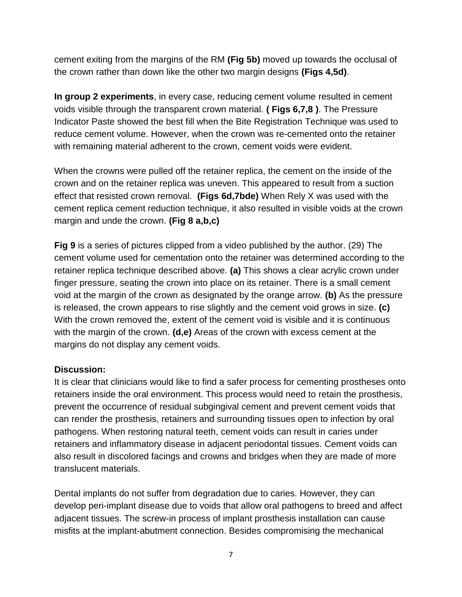cement exiting from the margins of the RM **(Fig 5b)** moved up towards the occlusal of the crown rather than down like the other two margin designs **(Figs 4,5d)**.

**In group 2 experiments**, in every case, reducing cement volume resulted in cement voids visible through the transparent crown material. **( Figs 6,7,8 )**. The Pressure Indicator Paste showed the best fill when the Bite Registration Technique was used to reduce cement volume. However, when the crown was re-cemented onto the retainer with remaining material adherent to the crown, cement voids were evident.

When the crowns were pulled off the retainer replica, the cement on the inside of the crown and on the retainer replica was uneven. This appeared to result from a suction effect that resisted crown removal. **(Figs 6d,7bde)** When Rely X was used with the cement replica cement reduction technique, it also resulted in visible voids at the crown margin and unde the crown. **(Fig 8 a,b,c)**

**Fig 9** is a series of pictures clipped from a video published by the author. (29) The cement volume used for cementation onto the retainer was determined according to the retainer replica technique described above. **(a)** This shows a clear acrylic crown under finger pressure, seating the crown into place on its retainer. There is a small cement void at the margin of the crown as designated by the orange arrow. **(b)** As the pressure is released, the crown appears to rise slightly and the cement void grows in size. **(c)** With the crown removed the, extent of the cement void is visible and it is continuous with the margin of the crown. **(d,e)** Areas of the crown with excess cement at the margins do not display any cement voids.

## **Discussion:**

It is clear that clinicians would like to find a safer process for cementing prostheses onto retainers inside the oral environment. This process would need to retain the prosthesis, prevent the occurrence of residual subgingival cement and prevent cement voids that can render the prosthesis, retainers and surrounding tissues open to infection by oral pathogens. When restoring natural teeth, cement voids can result in caries under retainers and inflammatory disease in adjacent periodontal tissues. Cement voids can also result in discolored facings and crowns and bridges when they are made of more translucent materials.

Dental implants do not suffer from degradation due to caries. However, they can develop peri-implant disease due to voids that allow oral pathogens to breed and affect adjacent tissues. The screw-in process of implant prosthesis installation can cause misfits at the implant-abutment connection. Besides compromising the mechanical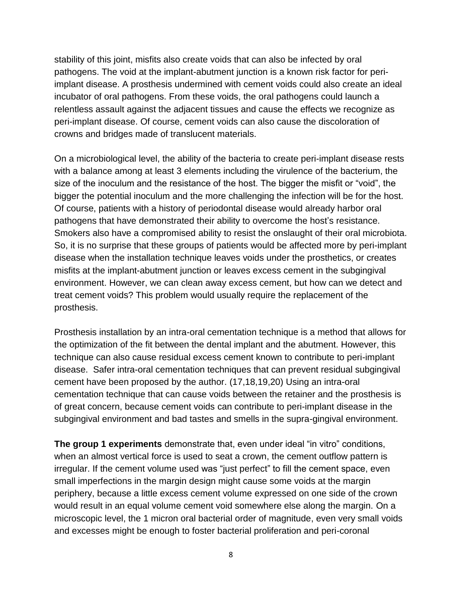stability of this joint, misfits also create voids that can also be infected by oral pathogens. The void at the implant-abutment junction is a known risk factor for periimplant disease. A prosthesis undermined with cement voids could also create an ideal incubator of oral pathogens. From these voids, the oral pathogens could launch a relentless assault against the adjacent tissues and cause the effects we recognize as peri-implant disease. Of course, cement voids can also cause the discoloration of crowns and bridges made of translucent materials.

On a microbiological level, the ability of the bacteria to create peri-implant disease rests with a balance among at least 3 elements including the virulence of the bacterium, the size of the inoculum and the resistance of the host. The bigger the misfit or "void", the bigger the potential inoculum and the more challenging the infection will be for the host. Of course, patients with a history of periodontal disease would already harbor oral pathogens that have demonstrated their ability to overcome the host's resistance. Smokers also have a compromised ability to resist the onslaught of their oral microbiota. So, it is no surprise that these groups of patients would be affected more by peri-implant disease when the installation technique leaves voids under the prosthetics, or creates misfits at the implant-abutment junction or leaves excess cement in the subgingival environment. However, we can clean away excess cement, but how can we detect and treat cement voids? This problem would usually require the replacement of the prosthesis.

Prosthesis installation by an intra-oral cementation technique is a method that allows for the optimization of the fit between the dental implant and the abutment. However, this technique can also cause residual excess cement known to contribute to peri-implant disease. Safer intra-oral cementation techniques that can prevent residual subgingival cement have been proposed by the author. (17,18,19,20) Using an intra-oral cementation technique that can cause voids between the retainer and the prosthesis is of great concern, because cement voids can contribute to peri-implant disease in the subgingival environment and bad tastes and smells in the supra-gingival environment.

**The group 1 experiments** demonstrate that, even under ideal "in vitro" conditions, when an almost vertical force is used to seat a crown, the cement outflow pattern is irregular. If the cement volume used was "just perfect" to fill the cement space, even small imperfections in the margin design might cause some voids at the margin periphery, because a little excess cement volume expressed on one side of the crown would result in an equal volume cement void somewhere else along the margin. On a microscopic level, the 1 micron oral bacterial order of magnitude, even very small voids and excesses might be enough to foster bacterial proliferation and peri-coronal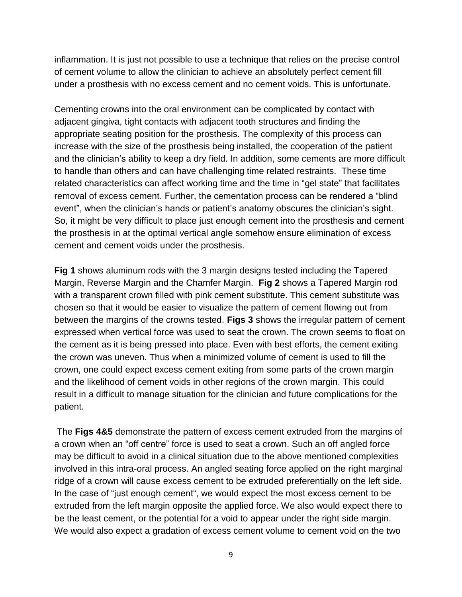inflammation. It is just not possible to use a technique that relies on the precise control of cement volume to allow the clinician to achieve an absolutely perfect cement fill under a prosthesis with no excess cement and no cement voids. This is unfortunate.

Cementing crowns into the oral environment can be complicated by contact with adjacent gingiva, tight contacts with adjacent tooth structures and finding the appropriate seating position for the prosthesis. The complexity of this process can increase with the size of the prosthesis being installed, the cooperation of the patient and the clinician's ability to keep a dry field. In addition, some cements are more difficult to handle than others and can have challenging time related restraints. These time related characteristics can affect working time and the time in "gel state" that facilitates removal of excess cement. Further, the cementation process can be rendered a "blind event", when the clinician's hands or patient's anatomy obscures the clinician's sight. So, it might be very difficult to place just enough cement into the prosthesis and cement the prosthesis in at the optimal vertical angle somehow ensure elimination of excess cement and cement voids under the prosthesis.

**Fig 1** shows aluminum rods with the 3 margin designs tested including the Tapered Margin, Reverse Margin and the Chamfer Margin. **Fig 2** shows a Tapered Margin rod with a transparent crown filled with pink cement substitute. This cement substitute was chosen so that it would be easier to visualize the pattern of cement flowing out from between the margins of the crowns tested. **Figs 3** shows the irregular pattern of cement expressed when vertical force was used to seat the crown. The crown seems to float on the cement as it is being pressed into place. Even with best efforts, the cement exiting the crown was uneven. Thus when a minimized volume of cement is used to fill the crown, one could expect excess cement exiting from some parts of the crown margin and the likelihood of cement voids in other regions of the crown margin. This could result in a difficult to manage situation for the clinician and future complications for the patient.

The **Figs 4&5** demonstrate the pattern of excess cement extruded from the margins of a crown when an "off centre" force is used to seat a crown. Such an off angled force may be difficult to avoid in a clinical situation due to the above mentioned complexities involved in this intra-oral process. An angled seating force applied on the right marginal ridge of a crown will cause excess cement to be extruded preferentially on the left side. In the case of "just enough cement", we would expect the most excess cement to be extruded from the left margin opposite the applied force. We also would expect there to be the least cement, or the potential for a void to appear under the right side margin. We would also expect a gradation of excess cement volume to cement void on the two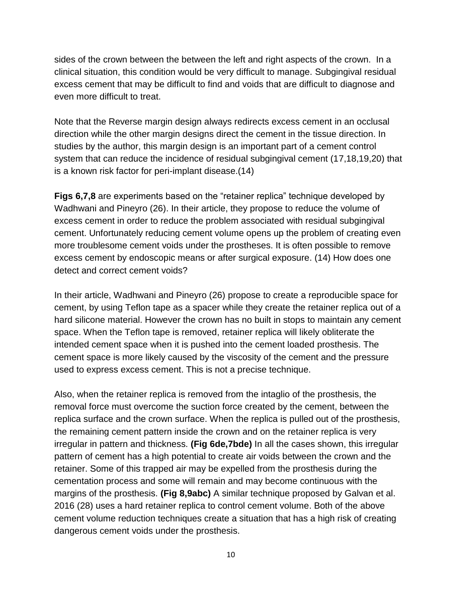sides of the crown between the between the left and right aspects of the crown. In a clinical situation, this condition would be very difficult to manage. Subgingival residual excess cement that may be difficult to find and voids that are difficult to diagnose and even more difficult to treat.

Note that the Reverse margin design always redirects excess cement in an occlusal direction while the other margin designs direct the cement in the tissue direction. In studies by the author, this margin design is an important part of a cement control system that can reduce the incidence of residual subgingival cement (17,18,19,20) that is a known risk factor for peri-implant disease.(14)

**Figs 6,7,8** are experiments based on the "retainer replica" technique developed by Wadhwani and Pineyro (26). In their article, they propose to reduce the volume of excess cement in order to reduce the problem associated with residual subgingival cement. Unfortunately reducing cement volume opens up the problem of creating even more troublesome cement voids under the prostheses. It is often possible to remove excess cement by endoscopic means or after surgical exposure. (14) How does one detect and correct cement voids?

In their article, Wadhwani and Pineyro (26) propose to create a reproducible space for cement, by using Teflon tape as a spacer while they create the retainer replica out of a hard silicone material. However the crown has no built in stops to maintain any cement space. When the Teflon tape is removed, retainer replica will likely obliterate the intended cement space when it is pushed into the cement loaded prosthesis. The cement space is more likely caused by the viscosity of the cement and the pressure used to express excess cement. This is not a precise technique.

Also, when the retainer replica is removed from the intaglio of the prosthesis, the removal force must overcome the suction force created by the cement, between the replica surface and the crown surface. When the replica is pulled out of the prosthesis, the remaining cement pattern inside the crown and on the retainer replica is very irregular in pattern and thickness. **(Fig 6de,7bde)** In all the cases shown, this irregular pattern of cement has a high potential to create air voids between the crown and the retainer. Some of this trapped air may be expelled from the prosthesis during the cementation process and some will remain and may become continuous with the margins of the prosthesis. **(Fig 8,9abc)** A similar technique proposed by Galvan et al. 2016 (28) uses a hard retainer replica to control cement volume. Both of the above cement volume reduction techniques create a situation that has a high risk of creating dangerous cement voids under the prosthesis.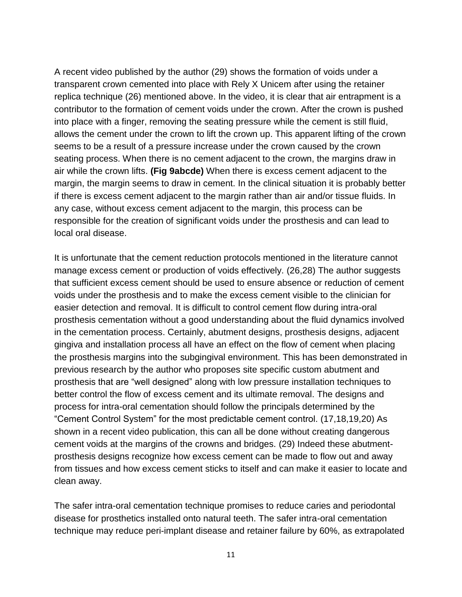A recent video published by the author (29) shows the formation of voids under a transparent crown cemented into place with Rely X Unicem after using the retainer replica technique (26) mentioned above. In the video, it is clear that air entrapment is a contributor to the formation of cement voids under the crown. After the crown is pushed into place with a finger, removing the seating pressure while the cement is still fluid, allows the cement under the crown to lift the crown up. This apparent lifting of the crown seems to be a result of a pressure increase under the crown caused by the crown seating process. When there is no cement adjacent to the crown, the margins draw in air while the crown lifts. **(Fig 9abcde)** When there is excess cement adjacent to the margin, the margin seems to draw in cement. In the clinical situation it is probably better if there is excess cement adjacent to the margin rather than air and/or tissue fluids. In any case, without excess cement adjacent to the margin, this process can be responsible for the creation of significant voids under the prosthesis and can lead to local oral disease.

It is unfortunate that the cement reduction protocols mentioned in the literature cannot manage excess cement or production of voids effectively. (26,28) The author suggests that sufficient excess cement should be used to ensure absence or reduction of cement voids under the prosthesis and to make the excess cement visible to the clinician for easier detection and removal. It is difficult to control cement flow during intra-oral prosthesis cementation without a good understanding about the fluid dynamics involved in the cementation process. Certainly, abutment designs, prosthesis designs, adjacent gingiva and installation process all have an effect on the flow of cement when placing the prosthesis margins into the subgingival environment. This has been demonstrated in previous research by the author who proposes site specific custom abutment and prosthesis that are "well designed" along with low pressure installation techniques to better control the flow of excess cement and its ultimate removal. The designs and process for intra-oral cementation should follow the principals determined by the "Cement Control System" for the most predictable cement control. (17,18,19,20) As shown in a recent video publication, this can all be done without creating dangerous cement voids at the margins of the crowns and bridges. (29) Indeed these abutmentprosthesis designs recognize how excess cement can be made to flow out and away from tissues and how excess cement sticks to itself and can make it easier to locate and clean away.

The safer intra-oral cementation technique promises to reduce caries and periodontal disease for prosthetics installed onto natural teeth. The safer intra-oral cementation technique may reduce peri-implant disease and retainer failure by 60%, as extrapolated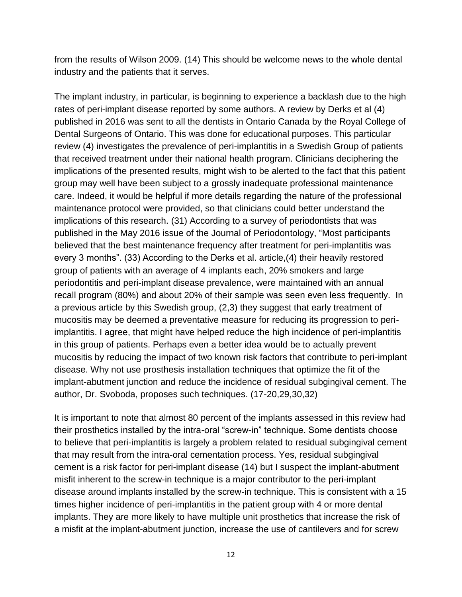from the results of Wilson 2009. (14) This should be welcome news to the whole dental industry and the patients that it serves.

The implant industry, in particular, is beginning to experience a backlash due to the high rates of peri-implant disease reported by some authors. A review by Derks et al (4) published in 2016 was sent to all the dentists in Ontario Canada by the Royal College of Dental Surgeons of Ontario. This was done for educational purposes. This particular review (4) investigates the prevalence of peri-implantitis in a Swedish Group of patients that received treatment under their national health program. Clinicians deciphering the implications of the presented results, might wish to be alerted to the fact that this patient group may well have been subject to a grossly inadequate professional maintenance care. Indeed, it would be helpful if more details regarding the nature of the professional maintenance protocol were provided, so that clinicians could better understand the implications of this research. (31) According to a survey of periodontists that was published in the May 2016 issue of the Journal of Periodontology, "Most participants believed that the best maintenance frequency after treatment for peri-implantitis was every 3 months". (33) According to the Derks et al. article,(4) their heavily restored group of patients with an average of 4 implants each, 20% smokers and large periodontitis and peri-implant disease prevalence, were maintained with an annual recall program (80%) and about 20% of their sample was seen even less frequently. In a previous article by this Swedish group, (2,3) they suggest that early treatment of mucositis may be deemed a preventative measure for reducing its progression to periimplantitis. I agree, that might have helped reduce the high incidence of peri-implantitis in this group of patients. Perhaps even a better idea would be to actually prevent mucositis by reducing the impact of two known risk factors that contribute to peri-implant disease. Why not use prosthesis installation techniques that optimize the fit of the implant-abutment junction and reduce the incidence of residual subgingival cement. The author, Dr. Svoboda, proposes such techniques. (17-20,29,30,32)

It is important to note that almost 80 percent of the implants assessed in this review had their prosthetics installed by the intra-oral "screw-in" technique. Some dentists choose to believe that peri-implantitis is largely a problem related to residual subgingival cement that may result from the intra-oral cementation process. Yes, residual subgingival cement is a risk factor for peri-implant disease (14) but I suspect the implant-abutment misfit inherent to the screw-in technique is a major contributor to the peri-implant disease around implants installed by the screw-in technique. This is consistent with a 15 times higher incidence of peri-implantitis in the patient group with 4 or more dental implants. They are more likely to have multiple unit prosthetics that increase the risk of a misfit at the implant-abutment junction, increase the use of cantilevers and for screw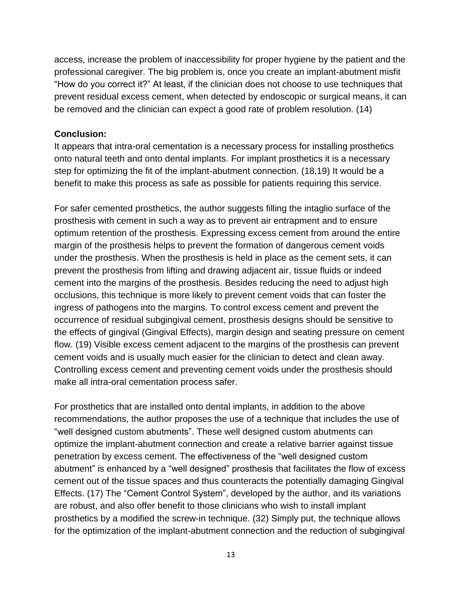access, increase the problem of inaccessibility for proper hygiene by the patient and the professional caregiver. The big problem is, once you create an implant-abutment misfit "How do you correct it?" At least, if the clinician does not choose to use techniques that prevent residual excess cement, when detected by endoscopic or surgical means, it can be removed and the clinician can expect a good rate of problem resolution. (14)

## **Conclusion:**

It appears that intra-oral cementation is a necessary process for installing prosthetics onto natural teeth and onto dental implants. For implant prosthetics it is a necessary step for optimizing the fit of the implant-abutment connection. (18,19) It would be a benefit to make this process as safe as possible for patients requiring this service.

For safer cemented prosthetics, the author suggests filling the intaglio surface of the prosthesis with cement in such a way as to prevent air entrapment and to ensure optimum retention of the prosthesis. Expressing excess cement from around the entire margin of the prosthesis helps to prevent the formation of dangerous cement voids under the prosthesis. When the prosthesis is held in place as the cement sets, it can prevent the prosthesis from lifting and drawing adjacent air, tissue fluids or indeed cement into the margins of the prosthesis. Besides reducing the need to adjust high occlusions, this technique is more likely to prevent cement voids that can foster the ingress of pathogens into the margins. To control excess cement and prevent the occurrence of residual subgingival cement, prosthesis designs should be sensitive to the effects of gingival (Gingival Effects), margin design and seating pressure on cement flow. (19) Visible excess cement adjacent to the margins of the prosthesis can prevent cement voids and is usually much easier for the clinician to detect and clean away. Controlling excess cement and preventing cement voids under the prosthesis should make all intra-oral cementation process safer.

For prosthetics that are installed onto dental implants, in addition to the above recommendations, the author proposes the use of a technique that includes the use of "well designed custom abutments". These well designed custom abutments can optimize the implant-abutment connection and create a relative barrier against tissue penetration by excess cement. The effectiveness of the "well designed custom abutment" is enhanced by a "well designed" prosthesis that facilitates the flow of excess cement out of the tissue spaces and thus counteracts the potentially damaging Gingival Effects. (17) The "Cement Control System", developed by the author, and its variations are robust, and also offer benefit to those clinicians who wish to install implant prosthetics by a modified the screw-in technique. (32) Simply put, the technique allows for the optimization of the implant-abutment connection and the reduction of subgingival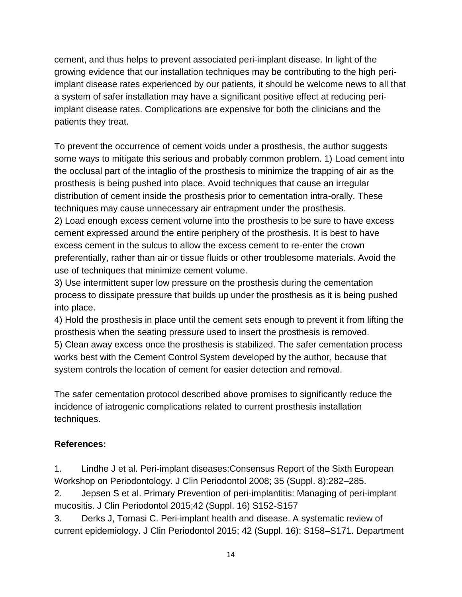cement, and thus helps to prevent associated peri-implant disease. In light of the growing evidence that our installation techniques may be contributing to the high periimplant disease rates experienced by our patients, it should be welcome news to all that a system of safer installation may have a significant positive effect at reducing periimplant disease rates. Complications are expensive for both the clinicians and the patients they treat.

To prevent the occurrence of cement voids under a prosthesis, the author suggests some ways to mitigate this serious and probably common problem. 1) Load cement into the occlusal part of the intaglio of the prosthesis to minimize the trapping of air as the prosthesis is being pushed into place. Avoid techniques that cause an irregular distribution of cement inside the prosthesis prior to cementation intra-orally. These techniques may cause unnecessary air entrapment under the prosthesis. 2) Load enough excess cement volume into the prosthesis to be sure to have excess cement expressed around the entire periphery of the prosthesis. It is best to have excess cement in the sulcus to allow the excess cement to re-enter the crown preferentially, rather than air or tissue fluids or other troublesome materials. Avoid the use of techniques that minimize cement volume.

3) Use intermittent super low pressure on the prosthesis during the cementation process to dissipate pressure that builds up under the prosthesis as it is being pushed into place.

4) Hold the prosthesis in place until the cement sets enough to prevent it from lifting the prosthesis when the seating pressure used to insert the prosthesis is removed. 5) Clean away excess once the prosthesis is stabilized. The safer cementation process works best with the Cement Control System developed by the author, because that system controls the location of cement for easier detection and removal.

The safer cementation protocol described above promises to significantly reduce the incidence of iatrogenic complications related to current prosthesis installation techniques.

# **References:**

1. Lindhe J et al. Peri-implant diseases:Consensus Report of the Sixth European Workshop on Periodontology. J Clin Periodontol 2008; 35 (Suppl. 8):282–285.

2. Jepsen S et al. Primary Prevention of peri-implantitis: Managing of peri-implant mucositis. J Clin Periodontol 2015;42 (Suppl. 16) S152-S157

3. Derks J, Tomasi C. Peri-implant health and disease. A systematic review of current epidemiology. J Clin Periodontol 2015; 42 (Suppl. 16): S158–S171. Department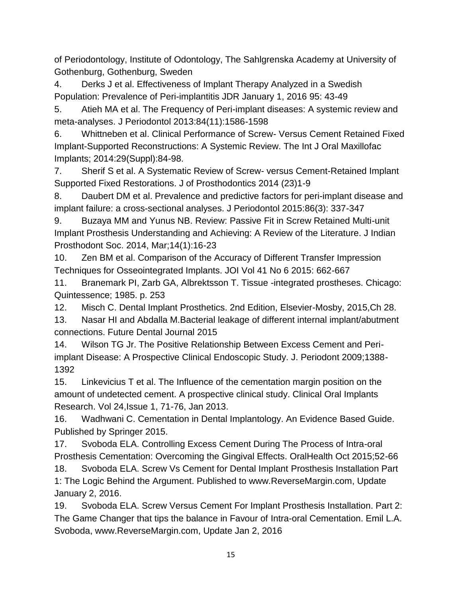of Periodontology, Institute of Odontology, The Sahlgrenska Academy at University of Gothenburg, Gothenburg, Sweden

4. Derks J et al. Effectiveness of Implant Therapy Analyzed in a Swedish Population: Prevalence of Peri-implantitis JDR January 1, 2016 95: 43-49

5. Atieh MA et al. The Frequency of Peri-implant diseases: A systemic review and meta-analyses. J Periodontol 2013:84(11):1586-1598

6. Whittneben et al. Clinical Performance of Screw- Versus Cement Retained Fixed Implant-Supported Reconstructions: A Systemic Review. The Int J Oral Maxillofac Implants; 2014:29(Suppl):84-98.

7. Sherif S et al. A Systematic Review of Screw- versus Cement-Retained Implant Supported Fixed Restorations. J of Prosthodontics 2014 (23)1-9

8. Daubert DM et al. Prevalence and predictive factors for peri-implant disease and implant failure: a cross-sectional analyses. J Periodontol 2015:86(3): 337-347

9. Buzaya MM and Yunus NB. Review: Passive Fit in Screw Retained Multi-unit Implant Prosthesis Understanding and Achieving: A Review of the Literature. J Indian Prosthodont Soc. 2014, Mar;14(1):16-23

10. Zen BM et al. Comparison of the Accuracy of Different Transfer Impression Techniques for Osseointegrated Implants. JOI Vol 41 No 6 2015: 662-667

11. Branemark PI, Zarb GA, Albrektsson T. Tissue -integrated prostheses. Chicago: Quintessence; 1985. p. 253

12. Misch C. Dental Implant Prosthetics. 2nd Edition, Elsevier-Mosby, 2015,Ch 28.

13. Nasar HI and Abdalla M.Bacterial leakage of different internal implant/abutment connections. Future Dental Journal 2015

14. Wilson TG Jr. The Positive Relationship Between Excess Cement and Periimplant Disease: A Prospective Clinical Endoscopic Study. J. Periodont 2009;1388- 1392

15. Linkevicius T et al. The Influence of the cementation margin position on the amount of undetected cement. A prospective clinical study. Clinical Oral Implants Research. Vol 24,Issue 1, 71-76, Jan 2013.

16. Wadhwani C. Cementation in Dental Implantology. An Evidence Based Guide. Published by Springer 2015.

17. Svoboda ELA. Controlling Excess Cement During The Process of Intra-oral Prosthesis Cementation: Overcoming the Gingival Effects. OralHealth Oct 2015;52-66

18. Svoboda ELA. Screw Vs Cement for Dental Implant Prosthesis Installation Part 1: The Logic Behind the Argument. Published to www.ReverseMargin.com, Update January 2, 2016.

19. Svoboda ELA. Screw Versus Cement For Implant Prosthesis Installation. Part 2: The Game Changer that tips the balance in Favour of Intra-oral Cementation. Emil L.A. Svoboda, www.ReverseMargin.com, Update Jan 2, 2016